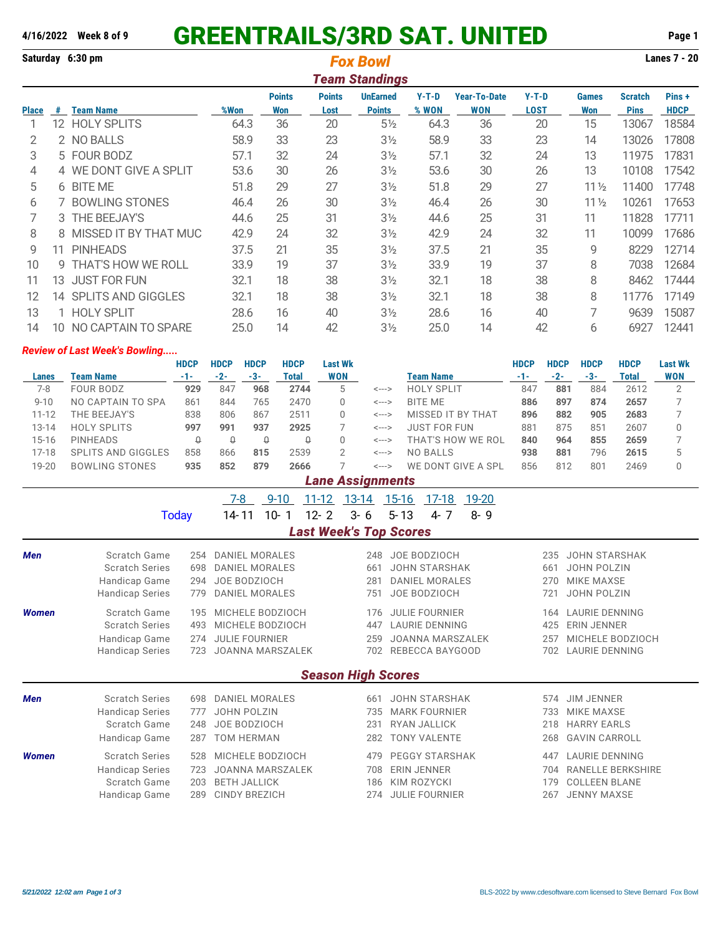## **4/16/2022 Week 8 of 9** GREENTRAILS/3RD SAT. UNITED **Page 1**

**Saturday 6:30 pm Lanes 7 - 20** *Fox Bowl Team Standings* **Points Points UnEarned Y-T-D Year-To-Date Y-T-D Games Scratch Pins + Place # Team Name %Won Won Lost Points % WON WON LOST Won Pins HDCP** 12 HOLY SPLITS 64.3 36 20 5½ 64.3 36 20 15 13067 18584 2 NO BALLS 58.9 33 23 3½ 58.9 33 23 14 13026 17808 5 FOUR BODZ 57.1 32 24 3½ 57.1 32 24 13 11975 17831 4 WE DONT GIVE A SPLIT 53.6 30 26 3½ 53.6 30 26 13 10108 17542 6 BITE ME 51.8 29 27 3½ 51.8 29 27 11½ 11400 17748 7 BOWLING STONES 46.4 26 30 3½ 46.4 26 30 11½ 10261 17653 3 THE BEEJAY'S 44.6 25 31 3½ 44.6 25 31 11 11828 17711 8 MISSED IT BY THAT MUC 42.9 24 32 3½ 42.9 24 32 11 10099 17686

 11 PINHEADS 37.5 21 35 3½ 37.5 21 35 9 8229 12714 9 THAT'S HOW WE ROLL 33.9 19 37 3½ 33.9 19 37 8 7038 12684 13 JUST FOR FUN 32.1 18 38 3½ 32.1 18 38 8 8462 17444 14 SPLITS AND GIGGLES 32.1 18 38 3½ 32.1 18 38 8 11776 17149 1 HOLY SPLIT 28.6 16 40 3½ 28.6 16 40 7 9639 15087

| 14           | 10 NO CAPTAIN TO SPARE                                                                         |                      | 14<br>25.0           |                                                | 42                          |                               | 3 <sub>2</sub>               | 25.0<br>14                           |                         | 42                                                       |                              | 6<br>6927            |                       | 12441                       |                              |  |
|--------------|------------------------------------------------------------------------------------------------|----------------------|----------------------|------------------------------------------------|-----------------------------|-------------------------------|------------------------------|--------------------------------------|-------------------------|----------------------------------------------------------|------------------------------|----------------------|-----------------------|-----------------------------|------------------------------|--|
|              | <b>Review of Last Week's Bowling</b>                                                           |                      |                      |                                                |                             |                               |                              |                                      |                         |                                                          |                              |                      |                       |                             |                              |  |
| Lanes        | <b>Team Name</b>                                                                               | <b>HDCP</b><br>$-1-$ | <b>HDCP</b><br>$-2-$ | <b>HDCP</b><br>$-3-$                           | <b>HDCP</b><br><b>Total</b> | <b>Last Wk</b><br><b>WON</b>  |                              |                                      | <b>Team Name</b>        |                                                          | <b>HDCP</b><br>$-1-$         | <b>HDCP</b><br>$-2-$ | <b>HDCP</b><br>$-3-$  | <b>HDCP</b><br><b>Total</b> | <b>Last Wk</b><br><b>WON</b> |  |
| $7 - 8$      | <b>FOUR BODZ</b>                                                                               | 929                  | 847                  | 968                                            | 2744                        | 5                             | <--->                        |                                      | <b>HOLY SPLIT</b>       |                                                          | 847                          | 881                  | 884                   | 2612                        | $\overline{2}$               |  |
| $9 - 10$     | NO CAPTAIN TO SPA                                                                              | 861                  | 844                  | 765                                            | 2470                        | 0                             | <--->                        |                                      | <b>BITE ME</b>          |                                                          | 886                          | 897                  | 874                   | 2657                        | 7                            |  |
| $11 - 12$    | THE BEEJAY'S                                                                                   | 838                  | 806                  | 867                                            | 2511                        | $\Omega$                      | <--->                        |                                      | MISSED IT BY THAT       |                                                          |                              | 882                  | 905                   | 2683                        | 7                            |  |
| $13 - 14$    | <b>HOLY SPLITS</b>                                                                             | 997                  | 991                  | 937                                            | 2925                        | 7                             | <--->                        |                                      | <b>JUST FOR FUN</b>     |                                                          | 881                          | 875                  | 851                   | 2607                        | 0                            |  |
| $15 - 16$    | <b>PINHEADS</b>                                                                                | $\theta$             | $\theta$             | $\theta$                                       | $\theta$                    | $\Omega$                      | $\leftarrow$ $\rightarrow$   |                                      |                         | THAT'S HOW WE ROL                                        | 840                          | 964                  | 855                   | 2659                        | 7                            |  |
| $17 - 18$    | <b>SPLITS AND GIGGLES</b>                                                                      | 858                  | 866                  | 815                                            | 2539                        | $\overline{2}$                | <--->                        |                                      | <b>NO BALLS</b>         |                                                          | 938                          | 881                  | 796                   | 2615                        | 5                            |  |
| 19-20        | <b>BOWLING STONES</b>                                                                          | 935                  | 852                  | 879                                            | 2666                        | 7                             | <--->                        |                                      |                         | WE DONT GIVE A SPL                                       | 856                          | 812                  | 801                   | 2469                        | 0                            |  |
|              |                                                                                                |                      |                      |                                                |                             | <b>Lane Assignments</b>       |                              |                                      |                         |                                                          |                              |                      |                       |                             |                              |  |
|              |                                                                                                |                      |                      | $7 - 8$                                        | $9 - 10$                    | $11 - 12$<br>$13 - 14$        |                              | $15 - 16$                            | $17-18$                 | 19-20                                                    |                              |                      |                       |                             |                              |  |
|              |                                                                                                | <b>Today</b>         | 14-11                | $10-$                                          | 1                           | $12 - 2$                      | $3 - 6$                      | $5 - 13$                             | $4 - 7$                 | $8 - 9$                                                  |                              |                      |                       |                             |                              |  |
|              |                                                                                                |                      |                      |                                                |                             | <b>Last Week's Top Scores</b> |                              |                                      |                         |                                                          |                              |                      |                       |                             |                              |  |
|              | Scratch Game                                                                                   |                      |                      |                                                |                             |                               |                              |                                      |                         |                                                          |                              |                      |                       |                             |                              |  |
| <b>Men</b>   | <b>Scratch Series</b>                                                                          | 254<br>698           |                      | <b>DANIEL MORALES</b><br><b>DANIEL MORALES</b> |                             | 248<br>661                    |                              | JOE BODZIOCH<br><b>JOHN STARSHAK</b> |                         | <b>JOHN STARSHAK</b><br>235<br><b>JOHN POLZIN</b><br>661 |                              |                      |                       |                             |                              |  |
|              |                                                                                                |                      |                      |                                                |                             |                               | 281                          |                                      | <b>DANIEL MORALES</b>   |                                                          | <b>MIKE MAXSE</b><br>270     |                      |                       |                             |                              |  |
|              | JOE BODZIOCH<br>Handicap Game<br>294<br><b>DANIEL MORALES</b><br><b>Handicap Series</b><br>779 |                      |                      |                                                |                             |                               | 751                          |                                      | JOE BODZIOCH            |                                                          | <b>JOHN POLZIN</b><br>721    |                      |                       |                             |                              |  |
|              |                                                                                                |                      |                      |                                                |                             |                               |                              |                                      |                         |                                                          |                              |                      |                       |                             |                              |  |
| <b>Women</b> | Scratch Game                                                                                   | 195                  |                      | MICHELE BODZIOCH                               |                             |                               | 176                          |                                      | <b>JULIE FOURNIER</b>   |                                                          |                              | 164                  | <b>LAURIE DENNING</b> |                             |                              |  |
|              | <b>Scratch Series</b>                                                                          | 493                  |                      | MICHELE BODZIOCH                               |                             |                               | <b>LAURIE DENNING</b><br>447 |                                      |                         |                                                          | 425                          | <b>ERIN JENNER</b>   |                       |                             |                              |  |
|              | Handicap Game                                                                                  | 274                  |                      | <b>JULIE FOURNIER</b>                          |                             |                               | 259                          |                                      | <b>JOANNA MARSZALEK</b> |                                                          |                              | 257                  |                       | MICHELE BODZIOCH            |                              |  |
|              | <b>Handicap Series</b>                                                                         | 723                  |                      |                                                | JOANNA MARSZALEK            |                               |                              |                                      | 702 REBECCA BAYGOOD     |                                                          |                              | 702                  | <b>LAURIE DENNING</b> |                             |                              |  |
|              |                                                                                                |                      |                      |                                                |                             | <b>Season High Scores</b>     |                              |                                      |                         |                                                          |                              |                      |                       |                             |                              |  |
| Men          | <b>Scratch Series</b>                                                                          | 698                  |                      | <b>DANIEL MORALES</b>                          |                             |                               | 661                          |                                      | <b>JOHN STARSHAK</b>    |                                                          |                              | 574                  | <b>JIM JENNER</b>     |                             |                              |  |
|              | <b>Handicap Series</b>                                                                         | 777                  |                      | <b>JOHN POLZIN</b>                             |                             |                               | 735                          |                                      | <b>MARK FOURNIER</b>    |                                                          |                              | 733                  | <b>MIKE MAXSE</b>     |                             |                              |  |
|              | Scratch Game                                                                                   | 248                  |                      | JOE BODZIOCH                                   |                             |                               | 231                          |                                      | <b>RYAN JALLICK</b>     |                                                          |                              | 218                  | <b>HARRY EARLS</b>    |                             |                              |  |
|              | Handicap Game                                                                                  | 287                  |                      | <b>TOM HERMAN</b>                              |                             |                               | 282                          |                                      | <b>TONY VALENTE</b>     |                                                          |                              | 268                  | <b>GAVIN CARROLL</b>  |                             |                              |  |
| <b>Women</b> | <b>Scratch Series</b>                                                                          | 528                  |                      | MICHELE BODZIOCH                               |                             |                               | 479                          | <b>PEGGY STARSHAK</b>                |                         |                                                          | <b>LAURIE DENNING</b><br>447 |                      |                       |                             |                              |  |
|              | <b>Handicap Series</b>                                                                         | 723                  |                      |                                                | <b>JOANNA MARSZALEK</b>     |                               | 708                          |                                      | <b>ERIN JENNER</b>      |                                                          |                              | 704                  |                       | <b>RANELLE BERKSHIRE</b>    |                              |  |
|              | Scratch Game                                                                                   | 203                  |                      | <b>BETH JALLICK</b>                            |                             |                               | 186                          |                                      | <b>KIM ROZYCKI</b>      |                                                          |                              | 179                  | <b>COLLEEN BLANE</b>  |                             |                              |  |
|              | Handicap Game                                                                                  | 289                  |                      | <b>CINDY BREZICH</b>                           |                             |                               | 274                          |                                      | <b>JULIE FOURNIER</b>   |                                                          |                              | 267                  | <b>JENNY MAXSE</b>    |                             |                              |  |
|              |                                                                                                |                      |                      |                                                |                             |                               |                              |                                      |                         |                                                          |                              |                      |                       |                             |                              |  |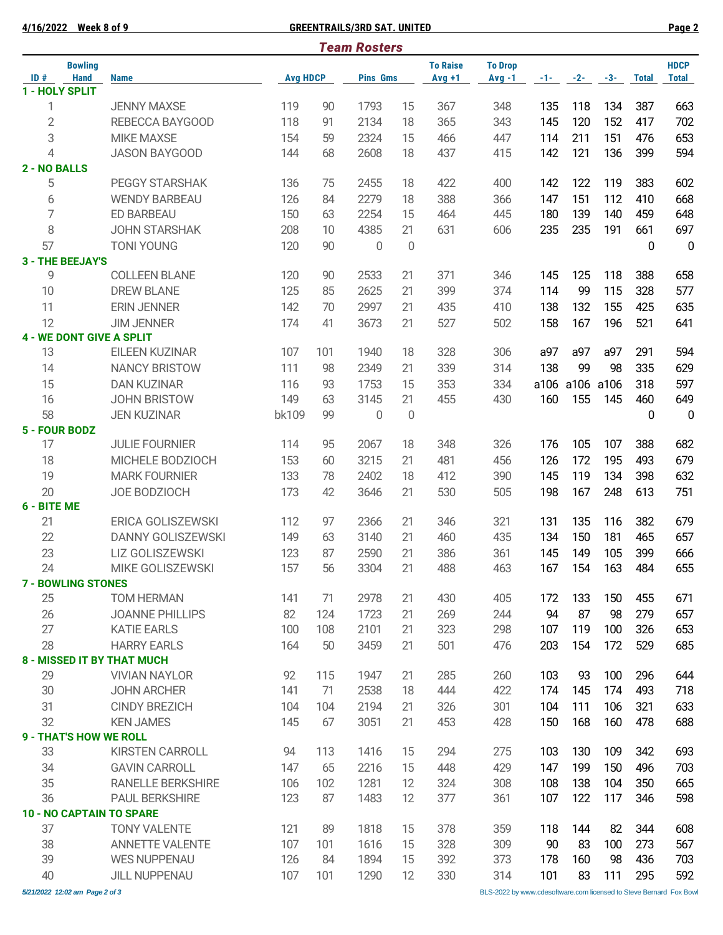**4/16/2022 Week 8 of 9 GREENTRAILS/3RD SAT. UNITED Page 2**

|                                      | <b>Team Rosters</b>       |                                                   |                 |          |                 |          |                              |                            |           |                  |           |              |                             |
|--------------------------------------|---------------------------|---------------------------------------------------|-----------------|----------|-----------------|----------|------------------------------|----------------------------|-----------|------------------|-----------|--------------|-----------------------------|
| <b>Bowling</b><br><b>Hand</b><br>ID# |                           | <b>Name</b>                                       | <b>Avg HDCP</b> |          | <b>Pins Gms</b> |          | <b>To Raise</b><br>$Avq + 1$ | <b>To Drop</b><br>$Avg -1$ | $-1 - 1$  | $-2-$            | $-3-$     | <b>Total</b> | <b>HDCP</b><br><b>Total</b> |
|                                      | 1 - HOLY SPLIT            |                                                   |                 |          |                 |          |                              |                            |           |                  |           |              |                             |
| 1                                    |                           | <b>JENNY MAXSE</b>                                | 119             | 90       | 1793            | 15       | 367                          | 348                        | 135       | 118              | 134       | 387          | 663                         |
| $\overline{2}$                       |                           | REBECCA BAYGOOD                                   | 118             | 91       | 2134            | 18       | 365                          | 343                        | 145       | 120              | 152       | 417          | 702                         |
| 3                                    |                           | <b>MIKE MAXSE</b>                                 | 154             | 59       | 2324            | 15       | 466                          | 447                        | 114       | 211              | 151       | 476          | 653                         |
| $\overline{4}$                       |                           | <b>JASON BAYGOOD</b>                              | 144             | 68       | 2608            | 18       | 437                          | 415                        | 142       | 121              | 136       | 399          | 594                         |
| 2 - NO BALLS                         |                           |                                                   |                 |          |                 |          |                              |                            |           |                  |           |              |                             |
| 5                                    |                           | PEGGY STARSHAK                                    | 136             | 75       | 2455            | 18       | 422                          | 400                        | 142       | 122              | 119       | 383          | 602                         |
| 6                                    |                           | <b>WENDY BARBEAU</b>                              | 126             | 84       | 2279            | 18       | 388                          | 366                        | 147       | 151              | 112       | 410          | 668                         |
| 7                                    |                           | ED BARBEAU                                        | 150             | 63       | 2254            | 15       | 464                          | 445                        | 180       | 139              | 140       | 459          | 648                         |
| 8                                    |                           | <b>JOHN STARSHAK</b>                              | 208             | 10       | 4385            | 21       | 631                          | 606                        | 235       | 235              | 191       | 661          | 697                         |
| 57                                   |                           | <b>TONI YOUNG</b>                                 | 120             | 90       | 0               | 0        |                              |                            |           |                  |           | 0            | $\overline{0}$              |
|                                      | <b>3 - THE BEEJAY'S</b>   |                                                   |                 |          |                 |          |                              |                            |           |                  |           |              |                             |
| 9                                    |                           | <b>COLLEEN BLANE</b>                              | 120             | 90       | 2533            | 21       | 371                          | 346                        | 145       | 125              | 118       | 388          | 658                         |
| 10                                   |                           | <b>DREW BLANE</b>                                 | 125             | 85       | 2625            | 21       | 399                          | 374                        | 114       | 99               | 115       | 328          | 577                         |
| 11                                   |                           | <b>ERIN JENNER</b>                                | 142             | 70       | 2997            | 21       | 435                          | 410                        | 138       | 132              | 155       | 425          | 635                         |
| 12                                   |                           | <b>JIM JENNER</b>                                 | 174             | 41       | 3673            | 21       | 527                          | 502                        | 158       | 167              | 196       | 521          | 641                         |
| 13                                   |                           | <b>4 - WE DONT GIVE A SPLIT</b><br>EILEEN KUZINAR | 107             | 101      | 1940            | 18       | 328                          | 306                        | a97       | a97              | a97       | 291          | 594                         |
| 14                                   |                           | <b>NANCY BRISTOW</b>                              | 111             | 98       | 2349            | 21       | 339                          | 314                        | 138       | 99               | 98        | 335          | 629                         |
| 15                                   |                           | <b>DAN KUZINAR</b>                                | 116             |          | 1753            |          | 353                          |                            |           |                  | a106      |              | 597                         |
| 16                                   |                           | <b>JOHN BRISTOW</b>                               | 149             | 93<br>63 | 3145            | 15<br>21 | 455                          | 334<br>430                 | 160       | a106 a106<br>155 | 145       | 318<br>460   | 649                         |
| 58                                   |                           | <b>JEN KUZINAR</b>                                | bk109           | 99       | 0               | 0        |                              |                            |           |                  |           | 0            | $\mathbf 0$                 |
| 5 - FOUR BODZ                        |                           |                                                   |                 |          |                 |          |                              |                            |           |                  |           |              |                             |
| 17                                   |                           | <b>JULIE FOURNIER</b>                             | 114             | 95       | 2067            | 18       | 348                          | 326                        | 176       | 105              | 107       | 388          | 682                         |
| 18                                   |                           | MICHELE BODZIOCH                                  | 153             | 60       | 3215            | 21       | 481                          | 456                        | 126       | 172              | 195       | 493          | 679                         |
| 19                                   |                           | <b>MARK FOURNIER</b>                              | 133             | 78       | 2402            | 18       | 412                          | 390                        | 145       | 119              | 134       | 398          | 632                         |
| 20                                   |                           | JOE BODZIOCH                                      | 173             | 42       | 3646            | 21       | 530                          | 505                        | 198       | 167              | 248       | 613          | 751                         |
| 6 - BITE ME                          |                           |                                                   |                 |          |                 |          |                              |                            |           |                  |           |              |                             |
| 21                                   |                           | ERICA GOLISZEWSKI                                 | 112             | 97       | 2366            | 21       | 346                          | 321                        | 131       | 135              | 116       | 382          | 679                         |
| 22                                   |                           | <b>DANNY GOLISZEWSKI</b>                          | 149             | 63       | 3140            | 21       | 460                          | 435                        | 134       | 150              | 181       | 465          | 657                         |
| 23                                   |                           | LIZ GOLISZEWSKI                                   | 123             | 87       | 2590            | 21       | 386                          | 361                        | 145       | 149              | 105       | 399          | 666                         |
| 24                                   |                           | MIKE GOLISZEWSKI                                  | 157             | 56       | 3304            | 21       | 488                          | 463                        | 167       | 154              | 163       | 484          | 655                         |
|                                      | <b>7 - BOWLING STONES</b> |                                                   |                 |          |                 |          |                              |                            |           |                  |           |              |                             |
| 25                                   |                           | <b>TOM HERMAN</b>                                 | 141             | 71       | 2978            | 21       | 430                          | 405                        | 172       | 133              | 150       | 455          | 671                         |
| 26                                   |                           | <b>JOANNE PHILLIPS</b>                            | 82              | 124      | 1723            | 21       | 269                          | 244                        | 94        | 87               | 98        | 279          | 657                         |
| 27                                   |                           | <b>KATIE EARLS</b>                                | 100             | 108      | 2101            | 21       | 323                          | 298                        | 107       | 119              | 100       | 326          | 653                         |
| 28                                   |                           | <b>HARRY EARLS</b>                                | 164             | 50       | 3459            | 21       | 501                          | 476                        | 203       | 154              | 172       | 529          | 685                         |
|                                      |                           | 8 - MISSED IT BY THAT MUCH                        |                 |          |                 |          |                              |                            |           |                  |           |              |                             |
| 29                                   |                           | <b>VIVIAN NAYLOR</b>                              | 92              | 115      | 1947            | 21       | 285                          | 260                        | 103       | 93               | 100       | 296          | 644                         |
| 30                                   |                           | <b>JOHN ARCHER</b>                                | 141             | 71       | 2538            | 18       | 444                          | 422                        | 174       | 145              | 174       | 493          | 718                         |
| 31                                   |                           | <b>CINDY BREZICH</b>                              | 104             | 104      | 2194            | 21       | 326                          | 301                        | 104       | 111              | 106       | 321          | 633                         |
| 32                                   |                           | <b>KEN JAMES</b>                                  | 145             | 67       | 3051            | 21       | 453                          | 428                        | 150       | 168              | 160       | 478          | 688                         |
|                                      |                           | <b>9 - THAT'S HOW WE ROLL</b>                     |                 |          |                 |          |                              |                            |           |                  |           |              |                             |
| 33                                   |                           | <b>KIRSTEN CARROLL</b>                            | 94              | 113      | 1416            | 15       | 294                          | 275                        | 103       | 130              | 109       | 342          | 693                         |
| 34                                   |                           | <b>GAVIN CARROLL</b>                              | 147             | 65       | 2216            | 15       | 448                          | 429                        | 147       | 199              | 150       | 496          | 703                         |
| 35                                   |                           | <b>RANELLE BERKSHIRE</b>                          | 106             | 102      | 1281            | 12       | 324                          | 308                        | 108       | 138              | 104       | 350          | 665                         |
| 36                                   |                           | <b>PAUL BERKSHIRE</b>                             | 123             | 87       | 1483            | 12       | 377                          | 361                        | 107       | 122              | 117       | 346          | 598                         |
|                                      |                           | <b>10 - NO CAPTAIN TO SPARE</b>                   |                 |          |                 |          |                              |                            |           |                  |           |              |                             |
| 37                                   |                           | <b>TONY VALENTE</b>                               | 121             | 89       | 1818            | 15       | 378                          | 359                        | 118       | 144              | 82        | 344          | 608                         |
| 38<br>39                             |                           | <b>ANNETTE VALENTE</b><br><b>WES NUPPENAU</b>     | 107<br>126      | 101      | 1616            | 15       | 328<br>392                   | 309<br>373                 | 90<br>178 | 83<br>160        | 100<br>98 | 273<br>436   | 567                         |
|                                      |                           |                                                   |                 | 84       | 1894            | 15       |                              |                            |           |                  |           |              | 703                         |
| 40                                   |                           | <b>JILL NUPPENAU</b>                              | 107             | 101      | 1290            | 12       | 330                          | 314                        | 101       | 83               | 111       | 295          | 592                         |